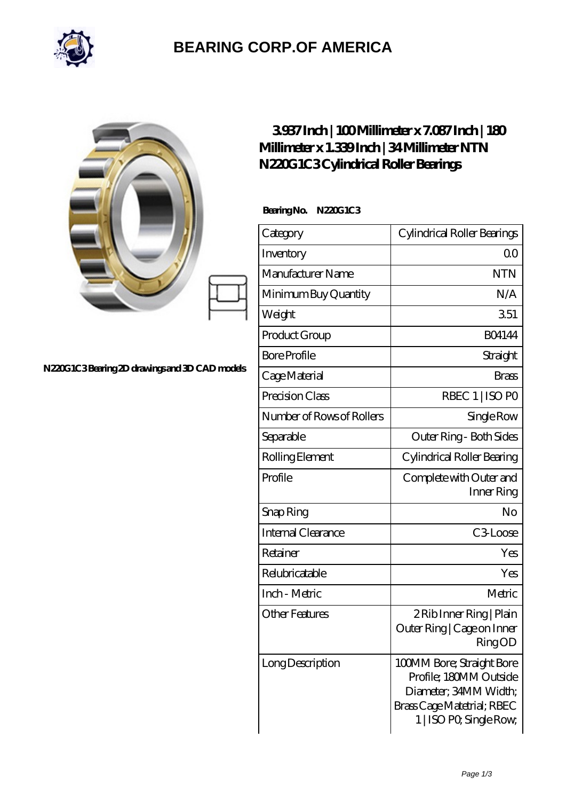

## **[BEARING CORP.OF AMERICA](https://bluemondayreview.com)**

|                                               | 3937Inch   100Millimeter x 7.087Inch   180<br>Millimeter x 1.339Inch   34 Millimeter NTN<br>N220G1C3Cylindrical Roller Bearings |                                                                                                                                       |
|-----------------------------------------------|---------------------------------------------------------------------------------------------------------------------------------|---------------------------------------------------------------------------------------------------------------------------------------|
| N220G1C3Bearing 2D drawings and 3D CAD models | BearingNo. N220G1C3                                                                                                             |                                                                                                                                       |
|                                               | Category                                                                                                                        | Cylindrical Roller Bearings                                                                                                           |
|                                               | Inventory                                                                                                                       | 0 <sup>0</sup>                                                                                                                        |
|                                               | Manufacturer Name                                                                                                               | <b>NTN</b>                                                                                                                            |
|                                               | Minimum Buy Quantity                                                                                                            | N/A                                                                                                                                   |
|                                               | Weight                                                                                                                          | 351                                                                                                                                   |
|                                               | Product Group                                                                                                                   | <b>BO4144</b>                                                                                                                         |
|                                               | <b>Bore Profile</b>                                                                                                             | Straight                                                                                                                              |
|                                               | Cage Material                                                                                                                   | <b>Brass</b>                                                                                                                          |
|                                               | Precision Class                                                                                                                 | RBEC 1   ISO PO                                                                                                                       |
|                                               | Number of Rows of Rollers                                                                                                       | Single Row                                                                                                                            |
|                                               | Separable                                                                                                                       | Outer Ring - Both Sides                                                                                                               |
|                                               | Rolling Element                                                                                                                 | Cylindrical Roller Bearing                                                                                                            |
|                                               | Profile                                                                                                                         | Complete with Outer and<br>Inner Ring                                                                                                 |
|                                               | Snap Ring                                                                                                                       | No                                                                                                                                    |
|                                               | Internal Clearance                                                                                                              | C3Loose                                                                                                                               |
|                                               | Retainer                                                                                                                        | Yes                                                                                                                                   |
|                                               | Relubricatable                                                                                                                  | Yes                                                                                                                                   |
|                                               | Inch - Metric                                                                                                                   | Metric                                                                                                                                |
|                                               | <b>Other Features</b>                                                                                                           | 2 Rib Inner Ring   Plain<br>Outer Ring   Cage on Inner<br><b>RingOD</b>                                                               |
|                                               | Long Description                                                                                                                | 100MM Bore; Straight Bore<br>Profile; 180MM Outside<br>Diameter; 34MM Width;<br>Brass Cage Matetrial; RBEC<br>1   ISO PO, Single Row, |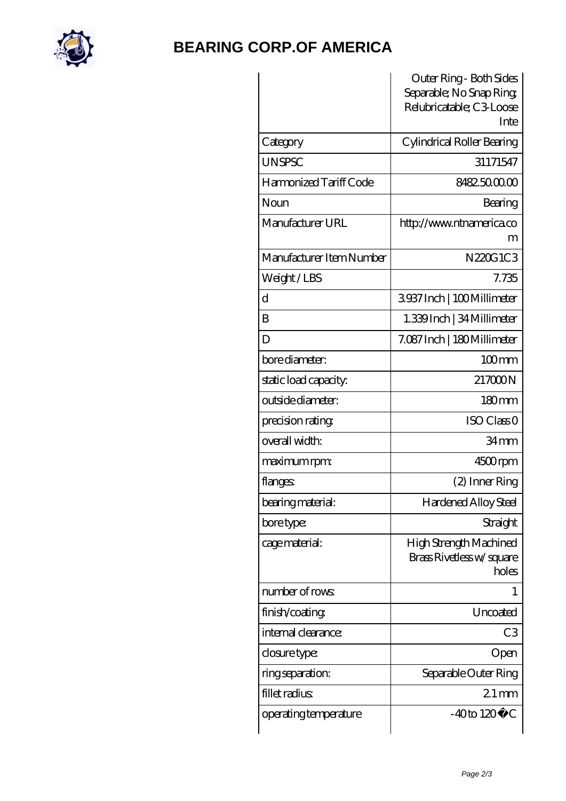

## **[BEARING CORP.OF AMERICA](https://bluemondayreview.com)**

|                          | Outer Ring - Both Sides<br>Separable; No Snap Ring; |
|--------------------------|-----------------------------------------------------|
|                          | Relubricatable; C3 Loose                            |
|                          | Inte                                                |
| Category                 | Cylindrical Roller Bearing                          |
| <b>UNSPSC</b>            | 31171547                                            |
| Harmonized Tariff Code   | 8482.5000.00                                        |
| Noun                     | Bearing                                             |
| Manufacturer URL         | http://www.ntnamerica.co                            |
|                          | m                                                   |
| Manufacturer Item Number | N220G1C3                                            |
| Weight/LBS               | 7.735                                               |
| d                        | 3937Inch   100Millimeter                            |
| B                        | 1.339Inch   34 Millimeter                           |
| D                        | 7.087 Inch   180 Millimeter                         |
| bore diameter:           | $100$ <sub>mm</sub>                                 |
| static load capacity:    | 217000N                                             |
| outside diameter:        | 180 <sub>mm</sub>                                   |
| precision rating         | ISO Class <sub>O</sub>                              |
| overall width:           | 34 <sub>mm</sub>                                    |
| maximum rpm:             | 4500rpm                                             |
| flanges:                 | (2) Inner Ring                                      |
| bearing material:        | Hardened Alloy Steel                                |
| bore type:               | Straight                                            |
| cage material:           | High Strength Machined<br>Brass Rivetless w/square  |
|                          | holes                                               |
| number of rows:          | 1                                                   |
| finish/coating           | Uncoated                                            |
| internal clearance:      | C <sub>3</sub>                                      |
| closure type:            | Open                                                |
| ring separation:         | Separable Outer Ring                                |
| fillet radius            | $21$ mm                                             |
| operating temperature    | $-40$ to $120^\circ$<br>€                           |
|                          |                                                     |